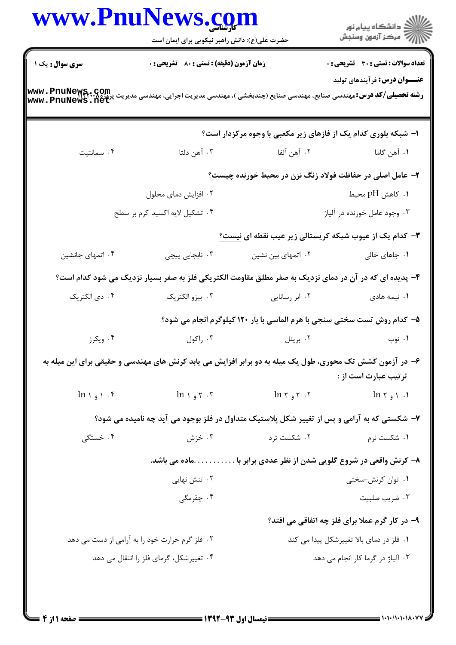|                                                                                                                                                               | www.PnuNews.com<br>حضرت علی(ع): دانش راهبر نیکویی برای ایمان است |                          | ر<br>دانشڪاه پيام نور)<br>اڳ مرڪز آزمون وسنڊش                                                                                     |  |
|---------------------------------------------------------------------------------------------------------------------------------------------------------------|------------------------------------------------------------------|--------------------------|-----------------------------------------------------------------------------------------------------------------------------------|--|
| <b>سری سوال :</b> یک ۱                                                                                                                                        | <b>زمان آزمون (دقیقه) : تستی : 80 ٪ تشریحی : 0</b>               |                          | تعداد سوالات : تستي : 30 ٪ تشريحي : 0                                                                                             |  |
| <b>رشته تحصیلی/کد درس:</b> مهندسی صنایع، مهندسی صنایع (چندبخشی )، مهندسی مدیریت اجرایی، مهندسی مدیریت پروژه <b>www . PnuNews . net</b><br>www . PnuNews . net |                                                                  |                          | <b>عنـــوان درس:</b> فرآیندهای تولید                                                                                              |  |
|                                                                                                                                                               |                                                                  |                          | ا- شبکه بلوری کدام یک از فازهای زیر مکعبی با وجوه مرکزدار است؟                                                                    |  |
| ۰۴ سمانتیت                                                                                                                                                    | ۰۳ آهن دلتا                                                      | ٢. آهن آلفا              | ۰۱ آهن گاما                                                                                                                       |  |
|                                                                                                                                                               |                                                                  |                          | ۲- عامل اصلی در حفاظت فولاد زنگ نزن در محیط خورنده چیست؟                                                                          |  |
|                                                                                                                                                               | ۰۲ افزایش دمای محلول                                             |                          | ۰۱ کاهش pH محیط                                                                                                                   |  |
|                                                                                                                                                               | ۰۴ تشکیل لایه اکسید کرم بر سطح                                   |                          | ۰۳ وجود عامل خورنده در آلیاژ                                                                                                      |  |
|                                                                                                                                                               |                                                                  |                          | ۳- کدام یک از عیوب شبکه کریستالی زیر عیب نقطه ای نیست <u>؟</u>                                                                    |  |
| ۰۴ اتمهای جانشین                                                                                                                                              | ۰۳ نابجایی پیچی                                                  | ۰۲ اتمهای بین نشین       | ۰۱ جاهای خالی                                                                                                                     |  |
|                                                                                                                                                               |                                                                  |                          | ۴- پدیده ای که در آن در دمای نزدیک به صفر مطلق مقاومت الکتریکی فلز به صفر بسیار نزدیک می شود کدام است؟                            |  |
| ۰۴ دي الكتريک                                                                                                                                                 | ۰۳ پیزو الکتریک                                                  | ۰۲ ابر رسانایی           | ۰۱ نیمه هادی                                                                                                                      |  |
|                                                                                                                                                               |                                                                  |                          | ۵– کدام روش تست سختی سنجی با هرم الماسی با بار ۱۲۰ کیلوگرم انجام می شود؟                                                          |  |
| ۰۴ ویکرز                                                                                                                                                      | ۰۳ راکول                                                         | ۰۲ برينل                 | ۰۱ نوپ                                                                                                                            |  |
|                                                                                                                                                               |                                                                  |                          | ۶- در آزمون کشش تک محوری، طول یک میله به دو برابر افزایش می یابد کرنش های مهندسی و حقیقی برای این میله به<br>ترتيب عبارت است از : |  |
| $ln \mid$ 1. $\uparrow$                                                                                                                                       | $ln \, \gamma$ <sub>و</sub> \, n                                 | $ln \gamma$ و ۱۲ $\cdot$ | $ln \gamma$ $\rightarrow$ $\cdot$ $\cdot$ $\cdot$                                                                                 |  |
|                                                                                                                                                               |                                                                  |                          | ۷- شکستی که به آرامی و پس از تغییر شکل پلاستیک متداول در فلز بوجود می آید چه نامیده می شود؟                                       |  |
| ۰۴ خستگی                                                                                                                                                      | ۰۳ خزش                                                           | ۰۲ شکست ترد              | ۰۱ شکست نرم                                                                                                                       |  |
|                                                                                                                                                               |                                                                  |                          | ۸– کرنش واقعی در شروع گلویی شدن از نظر عددی برابر باماده می باشد.                                                                 |  |
|                                                                                                                                                               | ۰۲ تنش نهایی                                                     |                          | ۰۱ توان کرنش-سختی                                                                                                                 |  |
|                                                                                                                                                               | ۰۴ چقرمگی                                                        |                          | ۰۳ ضریب صلبیت                                                                                                                     |  |
|                                                                                                                                                               |                                                                  |                          | ۹- در کار گرم عملا برای فلز چه اتفاقی می افتد؟                                                                                    |  |
| ۰۲ فلز گرم حرارت خود را به آرامی از دست می دهد                                                                                                                |                                                                  |                          | ۰۱ فلز در دمای بالا تغییرشکل پیدا می کند                                                                                          |  |
|                                                                                                                                                               | ۰۴ تغییرشکل، گرمای فلز را انتقال می دهد                          |                          | ۰۳ آلیاژ در گرما کار انجام می دهد                                                                                                 |  |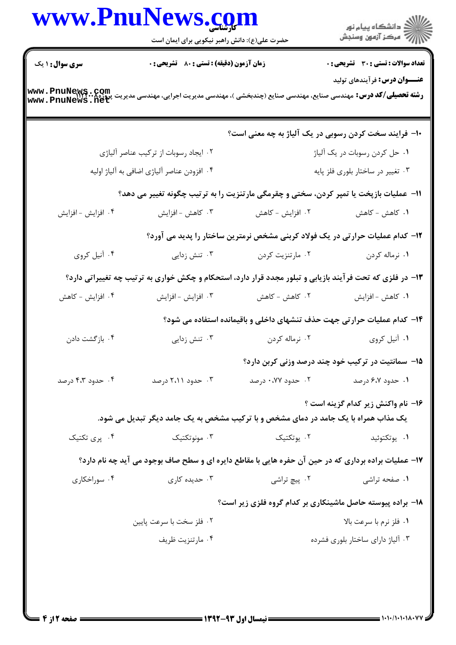|                        | www.PnuNews.com<br>حضرت علی(ع): دانش راهبر نیکویی برای ایمان است |                                                                                                                                                           | الاد دانشگاه پيام نور<br>الاسم مرکز آزمون وسنجش |  |
|------------------------|------------------------------------------------------------------|-----------------------------------------------------------------------------------------------------------------------------------------------------------|-------------------------------------------------|--|
| <b>سری سوال : ۱ یک</b> | زمان آزمون (دقیقه) : تستی : 80 ٪ تشریحی : 0                      |                                                                                                                                                           | تعداد سوالات : تستى : 30 - تشريحي : 0           |  |
|                        |                                                                  | <b>رشته تحصیلی/کد درس:</b> مهندسی صنایع، مهندسی صنایع (چندبخشی )، مهندسی مدیریت اجرایی، مهندسی مدیریت پروژه۸. <b>www . PnuNews</b><br>www . PnuNews . net | <b>عنـــوان درس:</b> فرآیندهای تولید            |  |
|                        |                                                                  | ∙ا− فرایند سخت کردن رسوبی در یک آلیاژ به چه معنی است؟                                                                                                     |                                                 |  |
|                        | ۰۲ ایجاد رسوبات از ترکیب عناصر آلیاژی                            |                                                                                                                                                           | ۰۱ حل کردن رسوبات در یک آلیاژ                   |  |
|                        | ۰۴ افزودن عناصر آلياژي اضافي به آلياژ اوليه                      | ۰۳ تغییر در ساختار بلوری فلز پایه                                                                                                                         |                                                 |  |
|                        |                                                                  | 11- عملیات بازپخت یا تمپر کردن، سختی و چقرمگی مارتنزیت را به ترتیب چگونه تغییر می دهد؟                                                                    |                                                 |  |
| ۰۴ افزايش - افزايش     | ۰۳ کاهش - افزایش                                                 | ۰۲ افزایش - کاهش                                                                                                                                          | ۰۱ کاهش - کاهش                                  |  |
|                        |                                                                  | ۱۲– کدام عملیات حرارتی در یک فولاد کربنی مشخص نرمترین ساختار را پدید می آورد؟                                                                             |                                                 |  |
| ۰۴ آنیل کروی           | ۰۳ تنش زدایی                                                     | ۰۲ مارتنزیت کردن                                                                                                                                          | ۰۱ نرماله کردن                                  |  |
|                        |                                                                  | ۱۳- در فلزی که تحت فرآیند بازیابی و تبلور مجدد قرار دارد، استحکام و چکش خواری به ترتیب چه تغییراتی دارد؟                                                  |                                                 |  |
| ۰۴ افزایش - کاهش       | ۰۳ افزايش - افزايش                                               | ۰۲ کاهش - کاهش                                                                                                                                            | ۰۱ كاهش - افزايش                                |  |
|                        |                                                                  | ۱۴– کدام عملیات حرارتی جهت حذف تنشهای داخلی و باقیمانده استفاده می شود؟                                                                                   |                                                 |  |
| ۰۴ بازگشت دادن         | ۰۳ تنش زدایی                                                     | ۰۲ نرماله کردن                                                                                                                                            | ١. أنيل كروى                                    |  |
|                        |                                                                  | ۱۵– سمانتیت در ترکیب خود چند درصد وزنی کربن دارد؟                                                                                                         |                                                 |  |
| ۰۴ حدود ۴،۳ درصد       | ۰۳ حدود ۲،۱۱ درصد                                                | ۰۲ حدود ۰،۷۷ درصد                                                                                                                                         | ۰۱ حدود ۶،۷ درصد                                |  |
|                        |                                                                  | یک مذاب همراه با یک جامد در دمای مشخص و با ترکیب مشخص به یک جامد دیگر تبدیل می شود.                                                                       | ۱۶- نام واکنش زیر کدام گزینه است ؟              |  |
| ۰۴ پری تکتیک           | ونوتكتيك $\cdot$ "                                               | ۰۲ يوتکتيک                                                                                                                                                | ۰۱ يوتکتوئيد                                    |  |
|                        |                                                                  | ۱۷- عملیات براده برداری که در حین آن حفره هایی با مقاطع دایره ای و سطح صاف بوجود می آید چه نام دارد؟                                                      |                                                 |  |
| ۰۴ سوراخکاری           | ۰۳ حدیده کاری                                                    | ۰۲ پیچ تراشی                                                                                                                                              | ۰۱ صفحه تراشی                                   |  |
|                        |                                                                  | ۱۸– براده پیوسته حاصل ماشینکاری بر کدام گروه فلزی زیر است؟                                                                                                |                                                 |  |
|                        | ۰۲ فلز سخت با سرعت پایین                                         |                                                                                                                                                           | ٠١. فلز نرم با سرعت بالا                        |  |
|                        | ۰۴ مارتنزيت ظريف                                                 |                                                                                                                                                           | ۰۳ آلیاژ دارای ساختار بلوری فشرده               |  |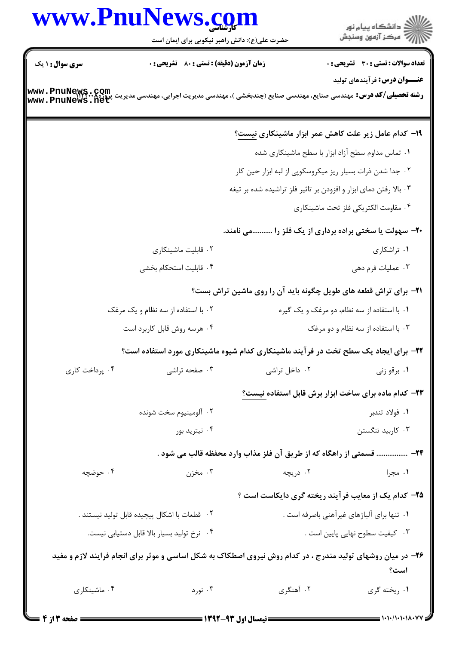## www.PnuNews.com

.<br>گ دانشگاه پیام نو**ر** ے۔<br>اللہ عرکز آزمون وسنجش

حضرت علی(ع): دانش راهبر نیکویی برای ایمان است **تعداد سوالات : تستي : 30 ٪ تشريحي : 0 سری سوال : ۱ یک زمان آزمون (دقیقه) : تستی : 80 ٪ تشریحی: 0 عنـــوان درس:** فرآیندهای تولید **رشته تحصیلی/کد درس:** مهندسی صنایع، مهندسی صنایع (چندبخشی )، مهندسی مدیریت اجرایی، مهندسی مدیریت پروژه **www . PnuNews . Com**<br>www . PnuNews . net **۱۹- کدام عامل زیر علت کاهش عمر ابزار ماشینکاری نیست؟** ۰۱ تماس مداوم سطح آزاد ابزار با سطح ماشینکاری شده ۰۲ جدا شدن ذرات بسیار ریز میکروسکوپی از لبه ابزار حین کار ۰۳ بالا رفتن دمای ابزار و افزودن بر تاثیر فلز تراشیده شده بر تیغه ۰۴ مقاومت الكتريكي فلز تحت ماشينكاري ۲۰- سهولت یا سختی براده برداری از یک فلز را ...........می نامند. ۰۲ قابلیت ماشینکاری ۰۱ تراشکاری ۰۴ قابلیت استحکام بخشی ۰۳ عملیات فرم دهے **۲۱**- برای تراش قطعه های طویل چگونه باید آن را روی ماشین تراش بست؟ ۰۲ با استفاده از سه نظام و یک مرغک ۰۱ با استفاده از سه نظام، دو مرغک و یک گیره ۰۴ هرسه روش قابل کاربرد است ۰۳ با استفاده از سه نظام و دو مرغک **۲۲**- برای ایجاد یک سطح تخت در فرآیند ماشینکاری کدام شیوه ماشینکاری مورد استفاده است؟ ۰۴ پرداخت کاری ۰۳ صفحه تراشی ۰۲ داخل تراشی ۰۱ برقو زنی **۲۳**– کدام ماده برای ساخت ابزار برش قابل استفاده نیست؟ ۰۲ آلومينيوم سخت شونده ۰۱ فولاد تندبر ۰۴ نیترید بور ۰۳ کاربید تنگستن ٢۴- ................ قسمتي از راهگاه كه از طريق آن فلز مذاب وارد محفظه قالب مي شود . ۰۴ حوضچه ۰۲ دریچه ۰۳ مخزن ۰۱ مجرا **۲۵**- کدام یک از معایب فر آیند ریخته گری دایکاست است ؟ ٢. قطعات با اشكال پيچيده قابل توليد نيستند . ۰۱ تنها برای آلیاژهای غیرآهنی باصرفه است . ۰۳ کیفیت سطوح نهایی پایین است . ۰۴ نرخ تولید بسیار بالا قابل دستیابی نیست. ۲۶- در میان روشهای تولید مندرج ، در کدام روش نیروی اصطکاک به شکل اساسی و موثر برای انجام فرایند لازم و مفید است؟

> ۰۴ ماشینکاری ۰۳ نورد ۰۲ آهنگری ۰۱ , پخته گری